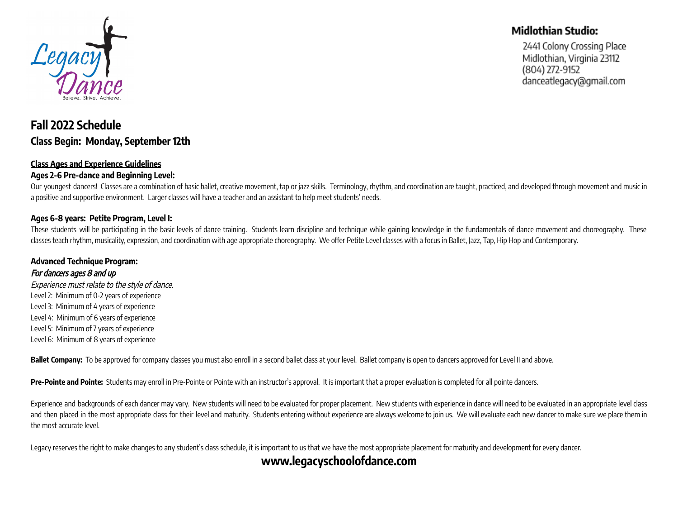

# **Fall 2022 Schedule Class Begin: Monday, September 12th**

### **Class Ages and Experience Guidelines**

### **Ages 2-6 Pre-dance and Beginning Level:**

Our youngest dancers! Classes are a combination of basic ballet, creative movement, tap or jazz skills. Terminology, rhythm, and coordination are taught, practiced, and developed through movement and music in a positive and supportive environment. Larger classes will have a teacher and an assistant to help meet students' needs.

#### **Ages 6-8 years: Petite Program, Level I:**

These students will be participating in the basic levels of dance training. Students learn discipline and technique while gaining knowledge in the fundamentals of dance movement and choreography. These classes teach rhythm, musicality, expression, and coordination with age appropriate choreography. We offer Petite Level classes with a focus in Ballet, Jazz, Tap, Hip Hop and Contemporary.

### **Advanced Technique Program:**

#### For dancers ages 8 and up

Experience must relate to the style of dance. Level 2: Minimum of 0-2 years of experience Level 3: Minimum of 4 years of experience Level 4: Minimum of 6 years of experience Level 5: Minimum of 7 years of experience Level 6: Minimum of 8 years of experience

Ballet Company: To be approved for company classes you must also enroll in a second ballet class at your level. Ballet company is open to dancers approved for Level II and above.

**Pre-Pointe and Pointe:** Students may enroll in Pre-Pointe or Pointe with an instructor's approval. It is important that a proper evaluation is completed for all pointe dancers.

Experience and backgrounds of each dancer may vary. New students will need to be evaluated for proper placement. New students with experience in dance will need to be evaluated in an appropriate level class and then placed in the most appropriate class for their level and maturity. Students entering without experience are always welcome to join us. We will evaluate each new dancer to make sure we place them in the most accurate level.

Legacy reserves the right to make changes to any student's class schedule, it is important to us that we have the most appropriate placement for maturity and development for every dancer.

## **www.legacyschoolofdance.com**

### **Midlothian Studio:**

2441 Colony Crossing Place Midlothian, Virginia 23112 (804) 272-9152 danceatlegacy@gmail.com